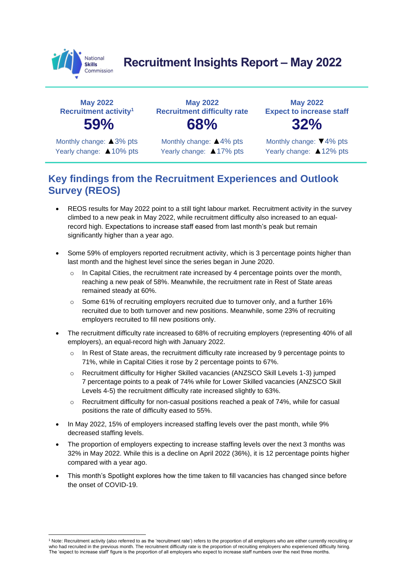

# **Recruitment Insights Report – May 2022**

**May 2022 Recruitment activity<sup>1</sup>**

Monthly change: ▲3% pts Yearly change: ▲10% pts

**May 2022 Recruitment difficulty rate 59% 68% 32%**

> Monthly change: ▲4% pts Yearly change: ▲17% pts

**May 2022 Expect to increase staff**

Monthly change: ▼4% pts Yearly change: ▲12% pts

### **Key findings from the Recruitment Experiences and Outlook Survey (REOS)**

- REOS results for May 2022 point to a still tight labour market. Recruitment activity in the survey climbed to a new peak in May 2022, while recruitment difficulty also increased to an equalrecord high. Expectations to increase staff eased from last month's peak but remain significantly higher than a year ago.
- Some 59% of employers reported recruitment activity, which is 3 percentage points higher than last month and the highest level since the series began in June 2020.
	- In Capital Cities, the recruitment rate increased by 4 percentage points over the month, reaching a new peak of 58%. Meanwhile, the recruitment rate in Rest of State areas remained steady at 60%.
	- $\circ$  Some 61% of recruiting employers recruited due to turnover only, and a further 16% recruited due to both turnover and new positions. Meanwhile, some 23% of recruiting employers recruited to fill new positions only.
- The recruitment difficulty rate increased to 68% of recruiting employers (representing 40% of all employers), an equal-record high with January 2022.
	- o In Rest of State areas, the recruitment difficulty rate increased by 9 percentage points to 71%, while in Capital Cities it rose by 2 percentage points to 67%.
	- o Recruitment difficulty for Higher Skilled vacancies (ANZSCO Skill Levels 1-3) jumped 7 percentage points to a peak of 74% while for Lower Skilled vacancies (ANZSCO Skill Levels 4-5) the recruitment difficulty rate increased slightly to 63%.
	- $\circ$  Recruitment difficulty for non-casual positions reached a peak of 74%, while for casual positions the rate of difficulty eased to 55%.
- In May 2022, 15% of employers increased staffing levels over the past month, while 9% decreased staffing levels.
- The proportion of employers expecting to increase staffing levels over the next 3 months was 32% in May 2022. While this is a decline on April 2022 (36%), it is 12 percentage points higher compared with a year ago.
- This month's Spotlight explores how the time taken to fill vacancies has changed since before the onset of COVID-19.

<sup>&</sup>lt;sup>1</sup> Note: Recruitment activity (also referred to as the 'recruitment rate') refers to the proportion of all employers who are either currently recruiting or who had recruited in the previous month. The recruitment difficulty rate is the proportion of recruiting employers who experienced difficulty hiring. The 'expect to increase staff' figure is the proportion of all employers who expect to increase staff numbers over the next three months.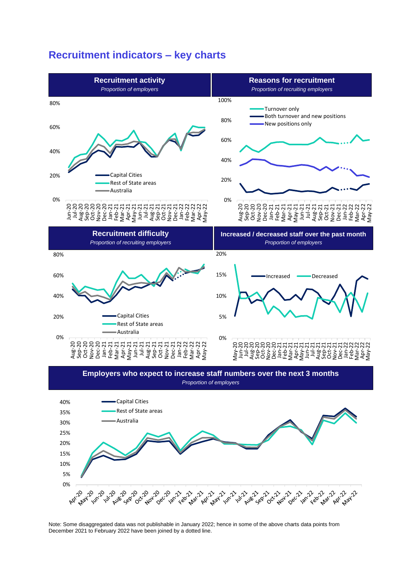### **Recruitment indicators – key charts**



*Proportion of employers*



Note: Some disaggregated data was not publishable in January 2022; hence in some of the above charts data points from December 2021 to February 2022 have been joined by a dotted line.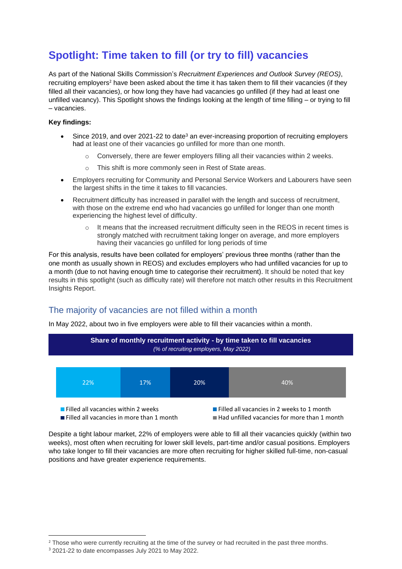# **Spotlight: Time taken to fill (or try to fill) vacancies**

As part of the National Skills Commission's *Recruitment Experiences and Outlook Survey (REOS)*, recruiting employers<sup>2</sup> have been asked about the time it has taken them to fill their vacancies (if they filled all their vacancies), or how long they have had vacancies go unfilled (if they had at least one unfilled vacancy). This Spotlight shows the findings looking at the length of time filling – or trying to fill – vacancies.

#### **Key findings:**

- Since 2019, and over 2021-22 to date<sup>3</sup> an ever-increasing proportion of recruiting employers had at least one of their vacancies go unfilled for more than one month.
	- o Conversely, there are fewer employers filling all their vacancies within 2 weeks.
	- o This shift is more commonly seen in Rest of State areas.
- Employers recruiting for Community and Personal Service Workers and Labourers have seen the largest shifts in the time it takes to fill vacancies.
- Recruitment difficulty has increased in parallel with the length and success of recruitment, with those on the extreme end who had vacancies go unfilled for longer than one month experiencing the highest level of difficulty.
	- $\circ$  It means that the increased recruitment difficulty seen in the REOS in recent times is strongly matched with recruitment taking longer on average, and more employers having their vacancies go unfilled for long periods of time

For this analysis, results have been collated for employers' previous three months (rather than the one month as usually shown in REOS) and excludes employers who had unfilled vacancies for up to a month (due to not having enough time to categorise their recruitment). It should be noted that key results in this spotlight (such as difficulty rate) will therefore not match other results in this Recruitment Insights Report.

#### The majority of vacancies are not filled within a month

In May 2022, about two in five employers were able to fill their vacancies within a month.



Despite a tight labour market, 22% of employers were able to fill all their vacancies quickly (within two weeks), most often when recruiting for lower skill levels, part-time and/or casual positions. Employers who take longer to fill their vacancies are more often recruiting for higher skilled full-time, non-casual positions and have greater experience requirements.

<sup>&</sup>lt;sup>2</sup> Those who were currently recruiting at the time of the survey or had recruited in the past three months.

<sup>&</sup>lt;sup>3</sup> 2021-22 to date encompasses July 2021 to May 2022.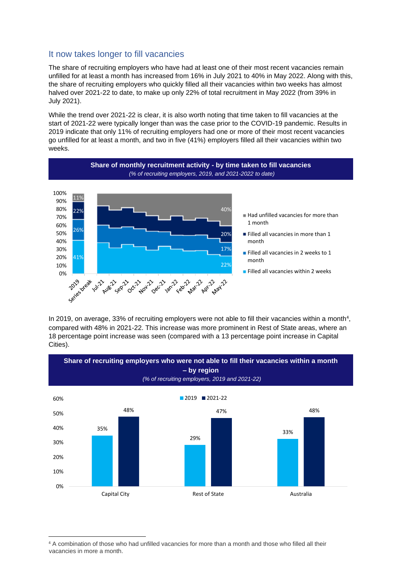#### It now takes longer to fill vacancies

The share of recruiting employers who have had at least one of their most recent vacancies remain unfilled for at least a month has increased from 16% in July 2021 to 40% in May 2022. Along with this, the share of recruiting employers who quickly filled all their vacancies within two weeks has almost halved over 2021-22 to date, to make up only 22% of total recruitment in May 2022 (from 39% in July 2021).

While the trend over 2021-22 is clear, it is also worth noting that time taken to fill vacancies at the start of 2021-22 were typically longer than was the case prior to the COVID-19 pandemic. Results in 2019 indicate that only 11% of recruiting employers had one or more of their most recent vacancies go unfilled for at least a month, and two in five (41%) employers filled all their vacancies within two weeks.



In 2019, on average, 33% of recruiting employers were not able to fill their vacancies within a month<sup>4</sup>, compared with 48% in 2021-22. This increase was more prominent in Rest of State areas, where an 18 percentage point increase was seen (compared with a 13 percentage point increase in Capital Cities).



<sup>4</sup> A combination of those who had unfilled vacancies for more than a month and those who filled all their vacancies in more a month.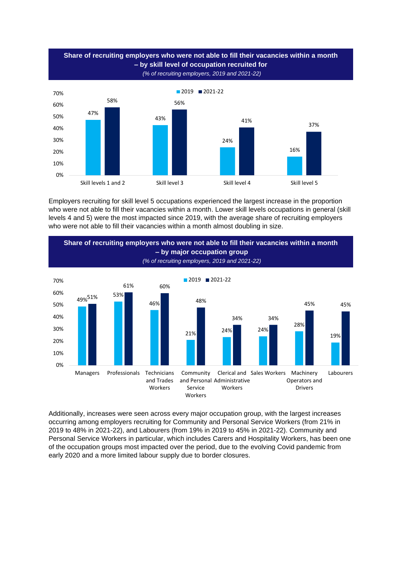

Employers recruiting for skill level 5 occupations experienced the largest increase in the proportion who were not able to fill their vacancies within a month. Lower skill levels occupations in general (skill levels 4 and 5) were the most impacted since 2019, with the average share of recruiting employers who were not able to fill their vacancies within a month almost doubling in size.



Additionally, increases were seen across every major occupation group, with the largest increases occurring among employers recruiting for Community and Personal Service Workers (from 21% in 2019 to 48% in 2021-22), and Labourers (from 19% in 2019 to 45% in 2021-22). Community and Personal Service Workers in particular, which includes Carers and Hospitality Workers, has been one of the occupation groups most impacted over the period, due to the evolving Covid pandemic from early 2020 and a more limited labour supply due to border closures.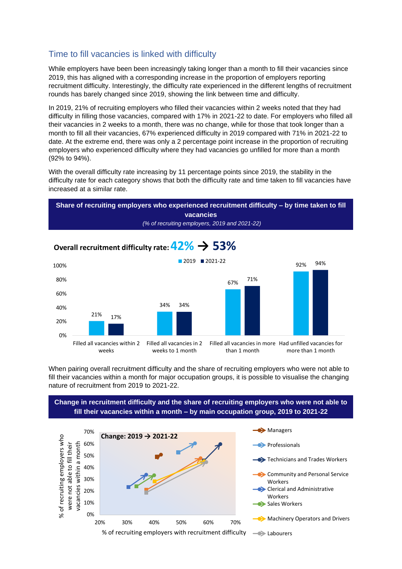#### Time to fill vacancies is linked with difficulty

While employers have been been increasingly taking longer than a month to fill their vacancies since 2019, this has aligned with a corresponding increase in the proportion of employers reporting recruitment difficulty. Interestingly, the difficulty rate experienced in the different lengths of recruitment rounds has barely changed since 2019, showing the link between time and difficulty.

In 2019, 21% of recruiting employers who filled their vacancies within 2 weeks noted that they had difficulty in filling those vacancies, compared with 17% in 2021-22 to date. For employers who filled all their vacancies in 2 weeks to a month, there was no change, while for those that took longer than a month to fill all their vacancies, 67% experienced difficulty in 2019 compared with 71% in 2021-22 to date. At the extreme end, there was only a 2 percentage point increase in the proportion of recruiting employers who experienced difficulty where they had vacancies go unfilled for more than a month (92% to 94%).

With the overall difficulty rate increasing by 11 percentage points since 2019, the stability in the difficulty rate for each category shows that both the difficulty rate and time taken to fill vacancies have increased at a similar rate.



## **Overall recruitment difficulty rate: 42% → 53%**



When pairing overall recruitment difficulty and the share of recruiting employers who were not able to fill their vacancies within a month for major occupation groups, it is possible to visualise the changing nature of recruitment from 2019 to 2021-22.